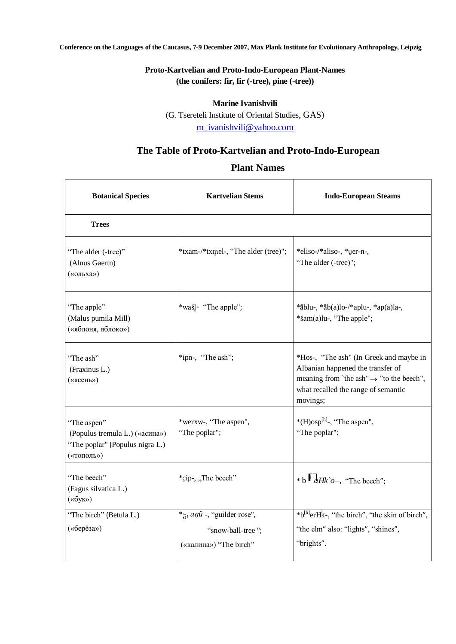**Conference on the Languages of the Caucasus, 7-9 December 2007, Max Plank Institute for Evolutionary Anthropology, Leipzig**

## **Proto-Kartvelian and Proto-Indo-European Plant-Names (the conifers: fir, fir (-tree), pine (-tree))**

## **Marine Ivanishvili**

(G. Tsereteli Institute of Oriental Studies, GAS)

[m\\_ivanishvili@yahoo.com](mailto:m_ivanishvili@yahoo.com)

## **The Table of Proto-Kartvelian and Proto-Indo-European**

## **Plant Names**

| <b>Botanical Species</b>                                                                       | <b>Kartvelian Stems</b>                                                                    | <b>Indo-European Steams</b>                                                                                                                                                             |  |  |
|------------------------------------------------------------------------------------------------|--------------------------------------------------------------------------------------------|-----------------------------------------------------------------------------------------------------------------------------------------------------------------------------------------|--|--|
| <b>Trees</b>                                                                                   |                                                                                            |                                                                                                                                                                                         |  |  |
| "The alder (-tree)"<br>(Alnus Gaertn)<br>(«ольха»)                                             | *txam-/*txmel-, "The alder (tree)";                                                        | *eliso-/*aliso-, *uer-n-,<br>"The alder (-tree)";                                                                                                                                       |  |  |
| "The apple"<br>(Malus pumila Mill)<br>(«яблоня, яблоко»)                                       | *wašļ- "The apple";                                                                        | $*$ ăblu-, $*$ ăb $(a)$ lo-/ $*$ aplu-, $*$ ap $(a)$ la-,<br>*šam(a)lu-, "The apple";                                                                                                   |  |  |
| "The ash"<br>(Fraxinus L.)<br>(«ясень»)                                                        | *ipn-, "The ash";                                                                          | *Hos-, "The ash" (In Greek and maybe in<br>Albanian happened the transfer of<br>meaning from 'the ash" $\rightarrow$ "to the beech",<br>what recalled the range of semantic<br>movings; |  |  |
| "The aspen"<br>(Populus tremula L.) («асина»)<br>"The poplar" (Populus nigra L.)<br>(«тополь») | *werxw-, "The aspen",<br>"The poplar";                                                     | $*(H)osp[h]$ , "The aspen",<br>"The poplar";                                                                                                                                            |  |  |
| "The beech"<br>(Fagus silvatica L.)<br>(«бук»)                                                 | *cip-, "The beech"                                                                         | * b $\Box$ <i>Hk`o</i> -, "The beech":                                                                                                                                                  |  |  |
| "The birch" (Betula L.)<br>(«берёза»)                                                          | $*_\text{g1}$ <i>aqu</i> -, "guilder rose",<br>"snow-ball-tree";<br>(«калина») "The birch" | *b <sup>[h]</sup> erHk̂-, "the birch", "the skin of birch",<br>"the elm" also: "lights", "shines",<br>"brights".                                                                        |  |  |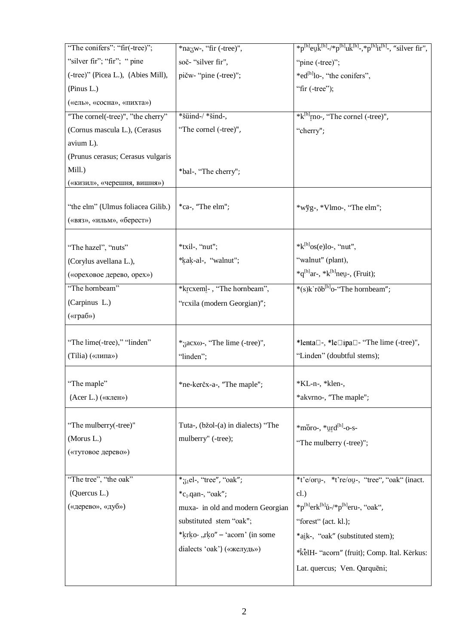| "The conifers": "fir(-tree)";      | $*$ na zw-, "fir (-tree)",                | *p <sup>[h]</sup> euk <sup>[h]</sup> -/*p <sup>[h]</sup> uk <sup>[h]</sup> -,*p <sup>[h]</sup> it <sup>[h]</sup> -, "silver fir", |
|------------------------------------|-------------------------------------------|-----------------------------------------------------------------------------------------------------------------------------------|
| "silver fir"; "fir"; " pine        | soč- "silver fir",                        | "pine (-tree)";                                                                                                                   |
| (-tree)" (Picea L.), (Abies Mill), | pičw- "pine (-tree)";                     | *ed <sup>[h]</sup> lo-, "the conifers",                                                                                           |
| (Pinus L.)                         |                                           | "fir $(-tree")$ ;                                                                                                                 |
| («ель», «сосна», «пихта»)          |                                           |                                                                                                                                   |
| "The cornel(-tree)", "the cherry"  | *šüind-/ *šind-,                          | *k <sup>[h]</sup> <sub><i>r</i>no-, "The cornel (-tree)",</sub>                                                                   |
| (Cornus mascula L.), (Cerasus      | "The cornel (-tree)",                     | "cherry";                                                                                                                         |
| avium L).                          |                                           |                                                                                                                                   |
| (Prunus cerasus; Cerasus vulgaris  |                                           |                                                                                                                                   |
| Mill.)                             | *bal-, "The cherry";                      |                                                                                                                                   |
| («кизил», «черешня, вишня»)        |                                           |                                                                                                                                   |
| "the elm" (Ulmus foliacea Gilib.)  | *ca-, "The elm";                          | *wỹg-, *Vlmo-, "The elm";                                                                                                         |
| («вяз», «ильм», «берест»)          |                                           |                                                                                                                                   |
|                                    |                                           |                                                                                                                                   |
| "The hazel", "nuts"                | *txil-, "nut";                            | $*{\bf k}^{\text{[h]}}$ os(e)lo-, "nut",                                                                                          |
| (Corylus avellana L.),             | *kak-al-, "walnut";                       | "walnut" (plant),                                                                                                                 |
| («ореховое дерево, орех»)          |                                           | $*q^{[h]}$ ar-, $* k^{[h]}$ neu-, (Fruit);                                                                                        |
| "The hornbeam"                     | *krcxeml-, "The hornbeam",                | *(s) $k$ `rōb <sup>[h]</sup> o-"The hornbeam";                                                                                    |
| (Carpinus L.)                      | "rcxila (modern Georgian)";               |                                                                                                                                   |
| («граб»)                           |                                           |                                                                                                                                   |
|                                    |                                           |                                                                                                                                   |
| "The lime(-tree)," "linden"        | $*_3$ acx $\omega$ -, "The lime (-tree)", | *lenta□-, *le□ipa□- "The lime (-tree)",                                                                                           |
| (Tilia) («липа»)                   | "linden";                                 | "Linden" (doubtful stems);                                                                                                        |
|                                    |                                           |                                                                                                                                   |
| "The maple"                        | *ne-kerčx-a-, "The maple";                | *KL-n-, *klen-,                                                                                                                   |
| (Acer L.) («клен»)                 |                                           | *akvrno-, "The maple";                                                                                                            |
|                                    |                                           |                                                                                                                                   |
| "The mulberry(-tree)"              | Tuta-, (bžol-(a) in dialects) "The        | *moro-, *urd <sup>[h]</sup> -o-s-                                                                                                 |
| (Morus L.)                         | mulberry" (-tree);                        | "The mulberry (-tree)";                                                                                                           |
| («тутовое дерево»)                 |                                           |                                                                                                                                   |
|                                    |                                           |                                                                                                                                   |
| "The tree", "the oak"              | $*_\text{71}$ el-, "tree", "oak";         | *t'e/oru-, *t're/ou-, "tree", "oak" (inact.                                                                                       |
| (Quercus L.)                       | $*_{c_1 \cdot q}$ . "oak";                | cl.)                                                                                                                              |
| («дерево», «дуб»)                  | muxa- in old and modern Georgian          | *p <sup>[h]</sup> erk <sup>[h]</sup> ů-/*p <sup>[h]</sup> eru-, "oak",                                                            |
|                                    | substituted stem "oak";                   | "forest" (act. kl.);                                                                                                              |
|                                    | *krko-,rko" – 'acorn' (in some            | *aik-, "oak" (substituted stem);                                                                                                  |
|                                    | dialects 'oak') («желудь»)                | *kelH- "acorn" (fruit); Comp. Ital. Kerkus:                                                                                       |
|                                    |                                           | Lat. quercus; Ven. Qarquēni;                                                                                                      |
|                                    |                                           |                                                                                                                                   |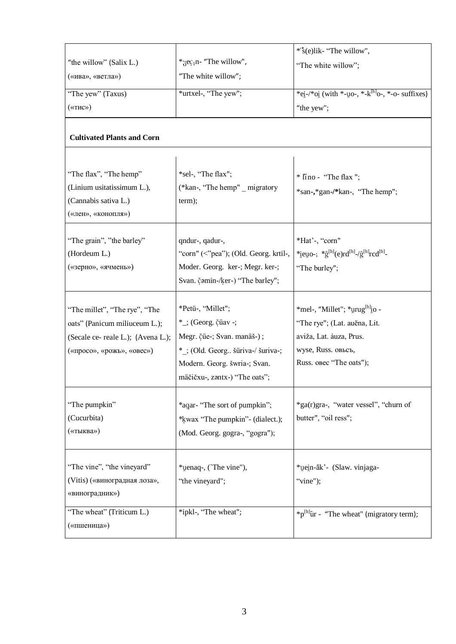|                                    |                                       | *'s(e)lik- "The willow",                                           |
|------------------------------------|---------------------------------------|--------------------------------------------------------------------|
| "the willow" (Salix L.)            | * $\text{sec}_{1}n$ - "The willow",   | "The white willow";                                                |
| («ива», «ветла»)                   | "The white willow";                   |                                                                    |
| "The yew" (Taxus)                  | *urtxel-, "The yew";                  | *ei-/*oi (with *-uo-, *-k <sup>[h]</sup> o-, *-o- suffixes)        |
| («тис»)                            |                                       | "the yew";                                                         |
|                                    |                                       |                                                                    |
| <b>Cultivated Plants and Corn</b>  |                                       |                                                                    |
|                                    |                                       |                                                                    |
| "The flax", "The hemp"             | *sel-, "The flax";                    | * Iino - "The flax";                                               |
| (Linium usitatissimum L.),         | (*kan-, "The hemp" _ migratory        | *san-,*gan-/*kan-, "The hemp";                                     |
| (Cannabis sativa L.)               | term);                                |                                                                    |
| («лен», «конопля»)                 |                                       |                                                                    |
|                                    |                                       |                                                                    |
| "The grain", "the barley"          | qndur-, qadur-,                       | *Hat'-, "corn"                                                     |
| (Hordeum L.)                       | "corn" (<"pea"); (Old. Georg. krtil-, | *ieuo-; * $\hat{g}^{[h]}(e)rd^{[h]}$ -/ $\hat{g}^{[h]}red^{[h]}$ - |
| («зерно», «ячмень»)                | Moder. Georg. ker-; Megr. ker-;       | "The burley";                                                      |
|                                    | Svan. čamin-/ker-) "The barley";      |                                                                    |
|                                    |                                       |                                                                    |
| "The millet", "The rye", "The      | *Petü-, "Millet";                     | *mel-, "Millet"; *urug <sup>[h]</sup> io -                         |
| oats" (Panicum miliuceum L.);      | *_; (Georg. čüav -;                   | "The rye"; (Lat. auēna, Lit.                                       |
| (Secale ce- reale L.); (Avena L.); | Megr. čue-; Svan. manäš-);            | aviža, Lat. àuza, Prus.                                            |
| («просо», «рожь», «овес»)          | *: (Old. Georg šüriva-/ šuriva-;      | wyse, Russ. овьсъ,                                                 |
|                                    | Modern. Georg. šwria-; Svan.          | Russ. obec "The oats");                                            |
|                                    | mäčičxu-, zantx-) "The oats";         |                                                                    |
| "The pumpkin"                      | *aqar- "The sort of pumpkin";         | *ga(r)gra-, "water vessel", "churn of                              |
| (Cucurbita)                        |                                       | butter", "oil ress";                                               |
| («тыква»)                          | *kwax "The pumpkin" - (dialect.);     |                                                                    |
|                                    | (Mod. Georg. gogra-, "gogra");        |                                                                    |
|                                    |                                       |                                                                    |
| "The vine", "the vineyard"         | *uenaq-, (`The vine"),                | *uein-āk' - (Slaw. vinjaga-                                        |
| (Vitis) («виноградная лоза»,       | "the vineyard";                       | "vine");                                                           |
| «виноградник»)                     |                                       |                                                                    |
| "The wheat" (Triticum L.)          | *ipkl-, "The wheat";                  | $*{\rm p}^{\text{[h]}}$ ur - "The wheat" (migratory term);         |
| («пшеница»)                        |                                       |                                                                    |
|                                    |                                       |                                                                    |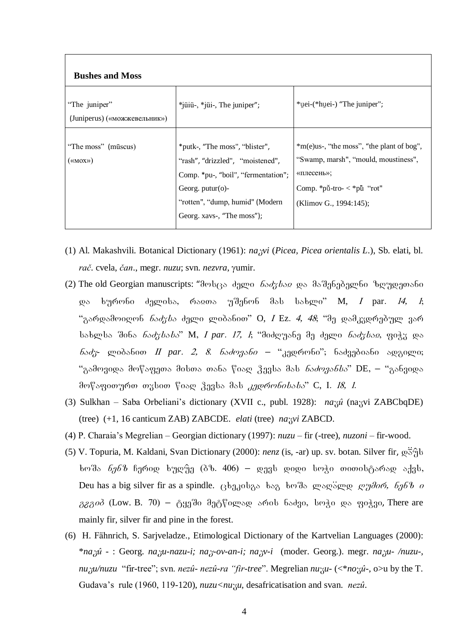| <b>Bushes and Moss</b>                                                |                                                                                                                                                                                                   |                                                                                                                                                            |
|-----------------------------------------------------------------------|---------------------------------------------------------------------------------------------------------------------------------------------------------------------------------------------------|------------------------------------------------------------------------------------------------------------------------------------------------------------|
| "The juniper"<br>(Juniperus) («можжевельник»)                         | $*$ jüiü-, $*$ jüi-, The juniper";                                                                                                                                                                | *uei-(*huei-) "The juniper";                                                                                                                               |
| "The moss" (mūscus)<br>$(\langle \langle \text{MOX} \rangle \rangle)$ | *putk-, "The moss", "blister",<br>"rash", "drizzled", "moistened",<br>Comp. *pu-, "boil", "fermentation";<br>Georg. $putur(o)$ -<br>"rotten", "dump, humid" (Modern<br>Georg. xavs-, "The moss"); | $*$ m(e)us-, "the moss", "the plant of bog",<br>"Swamp, marsh", "mould, moustiness",<br>«плесень»;<br>Comp. *pū-tro- < *pu "rot"<br>(Klimov G., 1994:145); |

- (1) Al. Makashvili. Botanical Dictionary (1961): na<sub>i</sub>yi (Picea, Picea orientalis L.), Sb. elati, bl. rač. cvela, čan., megr. nuzu; svn. nezvra, yumir.
- (2) The old Georgian manuscripts: "მოსცა ძელი *ნაძვსაჲ* და მაშენებელნი ზღუდეთანი ხურონი ძელისა, რაჲთა უშენონ მას სახლი" M, *I* par*. 14, 1*;  $\omega$ "გარდამოიღონ *ნაძვსა* ძელი ლიბანით" O, *I* Ez. *4, 48*; "მე დამკვდრებულ ვარ სახლსა შინა *ნაძვსასა*" M, I par. 17, 1; "მიძღუანე მე ძელი *ნაძვსაჲ*, ფიჭვ და  $\delta$ აძუ ლიბანით II par. 2, 8. ნაძოვანი – "კედრონი"; ნაძვებიანი ადგილი; "გამოვიდა მოწაფეთა მისთა თანა წიად ჴევსა მას *ნაძოვანსა*" DE, – "განვიდა მოწაფითურთ თვსით წიად ჴევსა მას *კედრონისასა*" C, I. 18, 1.
- (3) Sulkhan Saba Orbeliani's dictionary (XVII c., publ. 1928): nazû (nazvi ZABCbqDE) (tree) (+1, 16 canticum ZAB) ZABCDE. elati (tree) nazvi ZABCD.
- (4) P. Charaia's Megrelian Georgian dictionary (1997): nuzu fir (-tree), nuzoni fir-wood.
- (5) V. Topuria, M. Kaldani, Svan Dictionary (2000): *nenz* (is, -ar) up. sv. botan. Silver fir,  $\varphi \ddot{\hat{\sigma}}_1^0$ ხოშა *ნენზ* ჩერიდ ხუღუმ (ბზ. 406) – დევს დიდი სოჭი თითისტარად აქვს, Deu has a big silver fir as a spindle. (3ba30bas boa bodo grosgog gradom, 696b o  $\partial^2 \partial^2 \partial^0$  (Low. B. 70) – ტყეში მეტწილად არის ნაძვი, სოჭი და ფიჭვი, There are mainly fir, silver fir and pine in the forest.
- (6) H. Fähnrich, S. Sarjveladze., Etimological Dictionary of the Kartvelian Languages (2000): \*nazû - : Georg. nazu-nazu-i; naz-ov-an-i; nazv-i (moder. Georg.). megr. nazu- /nuzu-, nu zu/nuzu "fir-tree"; svn. nezû- nezû-ra "fir-tree". Megrelian nuzu- (<\*nozû-, o>u by the T. Gudava's rule (1960, 119-120),  $nu \ll u$ , desafricatisation and svan. *nezu*.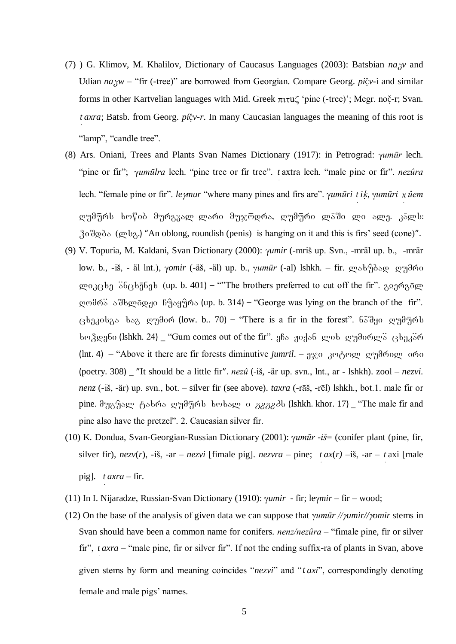- (7) G. Klimov, M. Khalilov, Dictionary of Caucasus Languages (2003): Batsbian  $n a_0 x$  and Udian  $na_{xy}$  – "fir (-tree)" are borrowed from Georgian. Compare Georg.  $pi\check{v}$ -i and similar forms in other Kartvelian languages with Mid. Greek  $\pi \iota \tau \iota \iota \zeta$  'pine (-tree)'; Megr. noč-r; Svan. *t axra*; Batsb. from Georg. *pi*čv-r. In many Caucasian languages the meaning of this root is "lamp", "candle tree".
- (8) Ars. Oniani, Trees and Plants Svan Names Dictionary (1917): in Petrograd: *yumūr* lech. "pine or fir"; *yumūlra* lech. "pine tree or fir tree". t axtra lech. "male pine or fir". *nezûra* lech. "female pine or fir". *le ynur* "where many pines and firs are". *yumūri t ik*, *yumūri x ûem* დუმურს ხოწიბ მურგვალ ლარი მუჯოდრა, ღუმური ლაში ლი ალე. კალს:  $30\degree$  and this is firs' seed (cone)".
- (9) V. Topuria, M. Kaldani, Svan Dictionary (2000): yumir (-mriš up. Svn., -mräl up. b., -mrär low. b., -iš, - äl lnt.), γomir (-äš, -äl) up. b., γumūr (-al) lshkh. - fir. ανδεήδες αγηθώσ ლიკცხე ანცხენეს (up. b. 401) – "The brothers preferred to cut off the fir". გიერგნლ დომრა აშხლნდჟი ჩუაყურა (up. b. 314) – "George was lying on the branch of the fir". ცხეკისგა ხაგ ღუმირ (low. b.. 70) – "There is a fir in the forest". 65 შყი ღუმურს ხო ვდენი (lshkh. 24) \_ "Gum comes out of the fir". ეჩა ჟიქან ლის ღუმირლა ცხეკარ (lnt. 4) – "Above it there are fir forests diminutive jumril. –  $9\%$  3mg employees on  $\alpha$ (poetry. 308) \_ "It should be a little fir". nezû (-iš, -är up. svn., lnt., ar - lshkh). zool – nezvi. nenz (-iš, -är) up. svn., bot. – silver fir (see above). taxra (-rāš, -rēl) lshkh., bot.1. male fir or pine.  $\partial_{\partial\Omega}\partial_{\partial}$   $\partial_{\partial\Omega}$   $\partial_{\Omega}$  o  $\partial_{\Omega}$   $\partial_{\Omega}$  o  $\partial_{\Omega}$   $\partial_{\Omega}$  and (lshkh. khor. 17) \_ "The male fir and pine also have the pretzel". 2. Caucasian silver fir.
- (10) K. Dondua, Svan-Georgian-Russian Dictionary (2001):  $\gamma u m \bar{u}r i\bar{s} =$  (conifer plant (pine, fir, silver fir),  $nezv(r)$ , -iš, -ar –  $nezvi$  [fimale pig].  $nezvra$  – pine;  $tax(r)$  –iš, -ar – t axi [male pig].  $taxra$  - fir.
- (11) In I. Nijaradze, Russian-Svan Dictionary (1910):  $\gamma$ umir fir; leymir fir wood;
- (12) On the base of the analysis of given data we can suppose that  $\gamma \mu m \bar{u} r / \gamma m \pi r / \gamma m r$  stems in Svan should have been a common name for conifers.  $nenz/nezûra$  – "fimale pine, fir or silver fir",  $taxra$  – "male pine, fir or silver fir". If not the ending suffix-ra of plants in Svan, above given stems by form and meaning coincides "nezvi" and "t axi", correspondingly denoting female and male pigs' names.